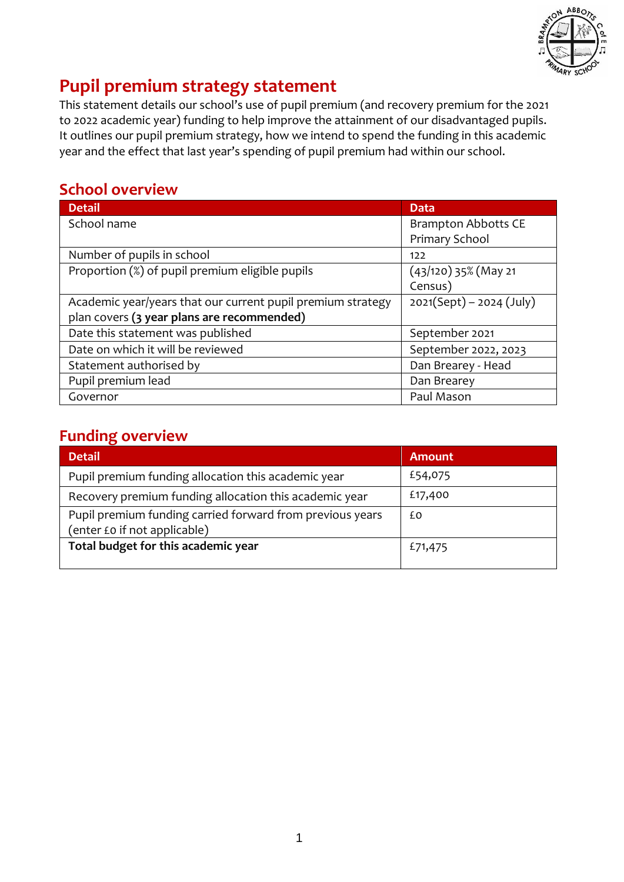

# **Pupil premium strategy statement**

This statement details our school's use of pupil premium (and recovery premium for the 2021 to 2022 academic year) funding to help improve the attainment of our disadvantaged pupils. It outlines our pupil premium strategy, how we intend to spend the funding in this academic year and the effect that last year's spending of pupil premium had within our school.

### **School overview**

| <b>Detail</b>                                               | <b>Data</b>                |
|-------------------------------------------------------------|----------------------------|
| School name                                                 | <b>Brampton Abbotts CE</b> |
|                                                             | Primary School             |
| Number of pupils in school                                  | 122                        |
| Proportion (%) of pupil premium eligible pupils             | $(43/120)$ 35% (May 21     |
|                                                             | Census)                    |
| Academic year/years that our current pupil premium strategy | $2021(Sept) - 2024 (July)$ |
| plan covers (3 year plans are recommended)                  |                            |
| Date this statement was published                           | September 2021             |
| Date on which it will be reviewed                           | September 2022, 2023       |
| Statement authorised by                                     | Dan Brearey - Head         |
| Pupil premium lead                                          | Dan Brearey                |
| Governor                                                    | Paul Mason                 |

### **Funding overview**

| <b>Detail</b>                                                                             | Amount  |
|-------------------------------------------------------------------------------------------|---------|
| Pupil premium funding allocation this academic year                                       | £54,075 |
| Recovery premium funding allocation this academic year                                    | £17,400 |
| Pupil premium funding carried forward from previous years<br>(enter £0 if not applicable) | £Ο      |
| Total budget for this academic year                                                       | £71,475 |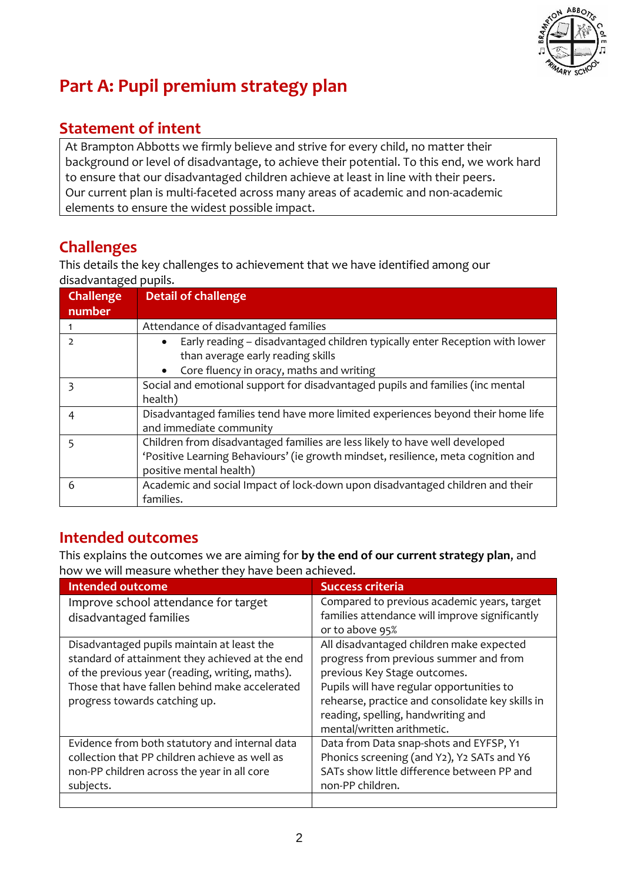

# **Part A: Pupil premium strategy plan**

## **Statement of intent**

At Brampton Abbotts we firmly believe and strive for every child, no matter their background or level of disadvantage, to achieve their potential. To this end, we work hard to ensure that our disadvantaged children achieve at least in line with their peers. Our current plan is multi-faceted across many areas of academic and non-academic elements to ensure the widest possible impact.

# **Challenges**

This details the key challenges to achievement that we have identified among our disadvantaged pupils.

| <b>Challenge</b><br>number | <b>Detail of challenge</b>                                                                                                                                                                  |
|----------------------------|---------------------------------------------------------------------------------------------------------------------------------------------------------------------------------------------|
|                            | Attendance of disadvantaged families                                                                                                                                                        |
| $\mathcal{P}$              | Early reading - disadvantaged children typically enter Reception with lower<br>than average early reading skills<br>Core fluency in oracy, maths and writing<br>$\bullet$                   |
|                            | Social and emotional support for disadvantaged pupils and families (inc mental<br>health)                                                                                                   |
| 4                          | Disadvantaged families tend have more limited experiences beyond their home life<br>and immediate community                                                                                 |
|                            | Children from disadvantaged families are less likely to have well developed<br>'Positive Learning Behaviours' (ie growth mindset, resilience, meta cognition and<br>positive mental health) |
| 6                          | Academic and social Impact of lock-down upon disadvantaged children and their<br>families.                                                                                                  |

## **Intended outcomes**

This explains the outcomes we are aiming for **by the end of our current strategy plan**, and how we will measure whether they have been achieved.

| <b>Intended outcome</b>                         | <b>Success criteria</b>                          |
|-------------------------------------------------|--------------------------------------------------|
| Improve school attendance for target            | Compared to previous academic years, target      |
| disadvantaged families                          | families attendance will improve significantly   |
|                                                 | or to above 95%                                  |
| Disadvantaged pupils maintain at least the      | All disadvantaged children make expected         |
| standard of attainment they achieved at the end | progress from previous summer and from           |
| of the previous year (reading, writing, maths). | previous Key Stage outcomes.                     |
| Those that have fallen behind make accelerated  | Pupils will have regular opportunities to        |
| progress towards catching up.                   | rehearse, practice and consolidate key skills in |
|                                                 | reading, spelling, handwriting and               |
|                                                 | mental/written arithmetic.                       |
| Evidence from both statutory and internal data  | Data from Data snap-shots and EYFSP, Y1          |
| collection that PP children achieve as well as  | Phonics screening (and Y2), Y2 SATs and Y6       |
| non-PP children across the year in all core     | SATs show little difference between PP and       |
| subjects.                                       | non-PP children.                                 |
|                                                 |                                                  |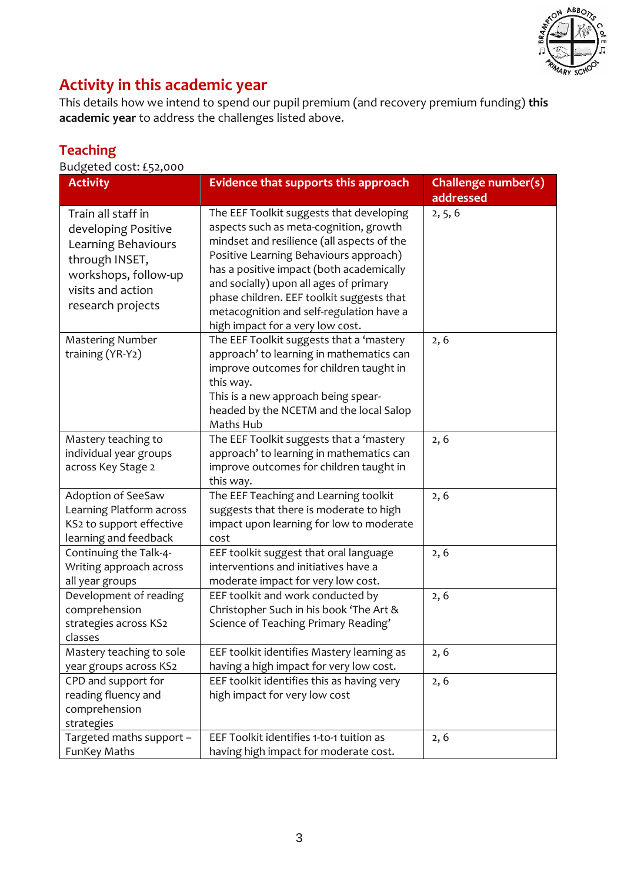

# **Activity in this academic year**

This details how we intend to spend our pupil premium (and recovery premium funding) **this academic year** to address the challenges listed above.

## **Teaching**

Budgeted cost: £52,000

| <b>Activity</b>                                                                                                                                      | <b>Evidence that supports this approach</b>                                                                                                                                                                                                                                                                                                                                                   | Challenge number(s) |
|------------------------------------------------------------------------------------------------------------------------------------------------------|-----------------------------------------------------------------------------------------------------------------------------------------------------------------------------------------------------------------------------------------------------------------------------------------------------------------------------------------------------------------------------------------------|---------------------|
|                                                                                                                                                      |                                                                                                                                                                                                                                                                                                                                                                                               | addressed           |
| Train all staff in<br>developing Positive<br>Learning Behaviours<br>through INSET,<br>workshops, follow-up<br>visits and action<br>research projects | The EEF Toolkit suggests that developing<br>aspects such as meta-cognition, growth<br>mindset and resilience (all aspects of the<br>Positive Learning Behaviours approach)<br>has a positive impact (both academically<br>and socially) upon all ages of primary<br>phase children. EEF toolkit suggests that<br>metacognition and self-regulation have a<br>high impact for a very low cost. | 2, 5, 6             |
| <b>Mastering Number</b><br>training (YR-Y2)                                                                                                          | The EEF Toolkit suggests that a 'mastery<br>approach' to learning in mathematics can<br>improve outcomes for children taught in<br>this way.<br>This is a new approach being spear-<br>headed by the NCETM and the local Salop<br>Maths Hub                                                                                                                                                   | 2, 6                |
| Mastery teaching to<br>individual year groups<br>across Key Stage 2                                                                                  | The EEF Toolkit suggests that a 'mastery<br>approach' to learning in mathematics can<br>improve outcomes for children taught in<br>this way.                                                                                                                                                                                                                                                  | 2, 6                |
| Adoption of SeeSaw<br>Learning Platform across<br>KS2 to support effective<br>learning and feedback                                                  | The EEF Teaching and Learning toolkit<br>suggests that there is moderate to high<br>impact upon learning for low to moderate<br>cost                                                                                                                                                                                                                                                          | 2, 6                |
| Continuing the Talk-4-<br>Writing approach across<br>all year groups                                                                                 | EEF toolkit suggest that oral language<br>interventions and initiatives have a<br>moderate impact for very low cost.                                                                                                                                                                                                                                                                          | 2, 6                |
| Development of reading<br>comprehension<br>strategies across KS2<br>classes                                                                          | EEF toolkit and work conducted by<br>Christopher Such in his book 'The Art &<br>Science of Teaching Primary Reading'                                                                                                                                                                                                                                                                          | 2, 6                |
| Mastery teaching to sole<br>year groups across KS2                                                                                                   | EEF toolkit identifies Mastery learning as<br>having a high impact for very low cost.                                                                                                                                                                                                                                                                                                         | 2, 6                |
| CPD and support for<br>reading fluency and<br>comprehension<br>strategies                                                                            | EEF toolkit identifies this as having very<br>high impact for very low cost                                                                                                                                                                                                                                                                                                                   | 2, 6                |
| Targeted maths support -<br>FunKey Maths                                                                                                             | EEF Toolkit identifies 1-to-1 tuition as<br>having high impact for moderate cost.                                                                                                                                                                                                                                                                                                             | 2, 6                |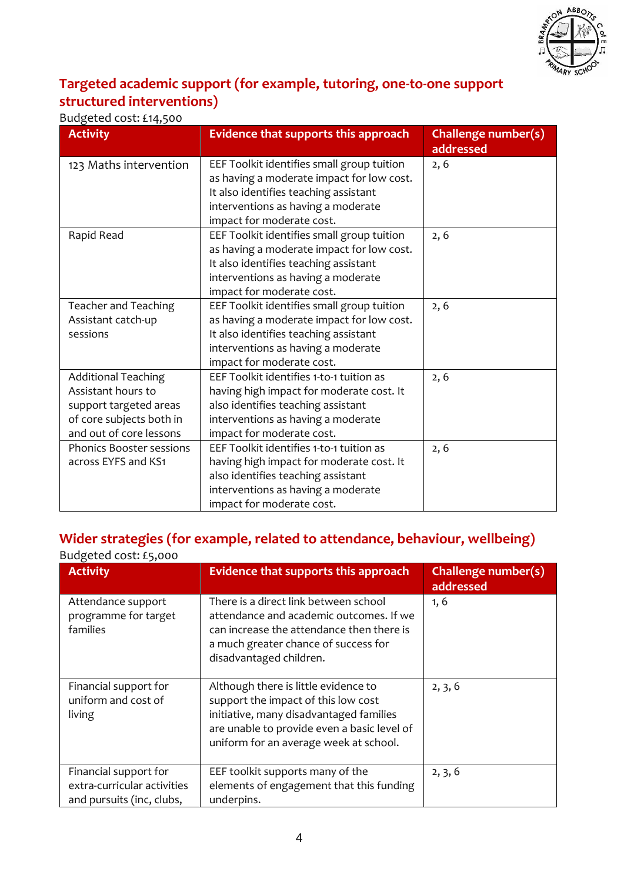

#### **Targeted academic support (for example, tutoring, one-to-one support structured interventions)**

#### Budgeted cost: £14,500

| <b>Activity</b>                 | <b>Evidence that supports this approach</b> | Challenge number(s)<br>addressed |
|---------------------------------|---------------------------------------------|----------------------------------|
| 123 Maths intervention          | EEF Toolkit identifies small group tuition  | 2, 6                             |
|                                 | as having a moderate impact for low cost.   |                                  |
|                                 | It also identifies teaching assistant       |                                  |
|                                 | interventions as having a moderate          |                                  |
|                                 | impact for moderate cost.                   |                                  |
| Rapid Read                      | EEF Toolkit identifies small group tuition  | 2, 6                             |
|                                 | as having a moderate impact for low cost.   |                                  |
|                                 | It also identifies teaching assistant       |                                  |
|                                 | interventions as having a moderate          |                                  |
|                                 | impact for moderate cost.                   |                                  |
| <b>Teacher and Teaching</b>     | EEF Toolkit identifies small group tuition  | 2, 6                             |
| Assistant catch-up              | as having a moderate impact for low cost.   |                                  |
| sessions                        | It also identifies teaching assistant       |                                  |
|                                 | interventions as having a moderate          |                                  |
|                                 | impact for moderate cost.                   |                                  |
| <b>Additional Teaching</b>      | EEF Toolkit identifies 1-to-1 tuition as    | 2, 6                             |
| Assistant hours to              | having high impact for moderate cost. It    |                                  |
| support targeted areas          | also identifies teaching assistant          |                                  |
| of core subjects both in        | interventions as having a moderate          |                                  |
| and out of core lessons         | impact for moderate cost.                   |                                  |
| <b>Phonics Booster sessions</b> | EEF Toolkit identifies 1-to-1 tuition as    | 2, 6                             |
| across EYFS and KS1             | having high impact for moderate cost. It    |                                  |
|                                 | also identifies teaching assistant          |                                  |
|                                 | interventions as having a moderate          |                                  |
|                                 | impact for moderate cost.                   |                                  |

#### **Wider strategies (for example, related to attendance, behaviour, wellbeing)** Budgeted cost: £5,000

| <b>Activity</b>                                                                   | Evidence that supports this approach                                                                                                                                                                            | Challenge number(s)<br>addressed |
|-----------------------------------------------------------------------------------|-----------------------------------------------------------------------------------------------------------------------------------------------------------------------------------------------------------------|----------------------------------|
| Attendance support<br>programme for target<br>families                            | There is a direct link between school<br>attendance and academic outcomes. If we<br>can increase the attendance then there is<br>a much greater chance of success for<br>disadvantaged children.                | 1, 6                             |
| Financial support for<br>uniform and cost of<br>living                            | Although there is little evidence to<br>support the impact of this low cost<br>initiative, many disadvantaged families<br>are unable to provide even a basic level of<br>uniform for an average week at school. | 2, 3, 6                          |
| Financial support for<br>extra-curricular activities<br>and pursuits (inc, clubs, | EEF toolkit supports many of the<br>elements of engagement that this funding<br>underpins.                                                                                                                      | 2, 3, 6                          |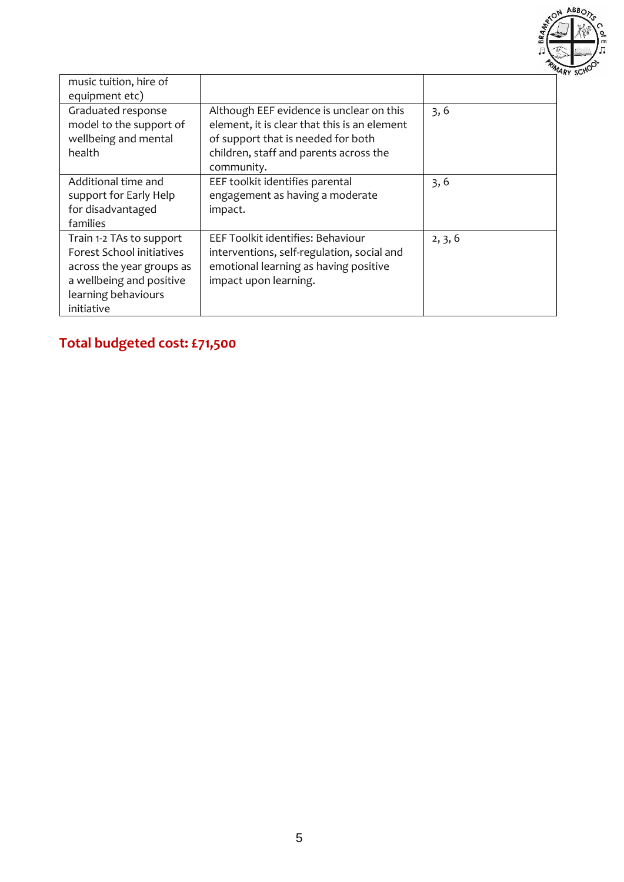

| music tuition, hire of<br>equipment etc)                                                                                                            |                                                                                                                                                                                        |         |
|-----------------------------------------------------------------------------------------------------------------------------------------------------|----------------------------------------------------------------------------------------------------------------------------------------------------------------------------------------|---------|
| Graduated response<br>model to the support of<br>wellbeing and mental<br>health                                                                     | Although EEF evidence is unclear on this<br>element, it is clear that this is an element<br>of support that is needed for both<br>children, staff and parents across the<br>community. | 3, 6    |
| Additional time and<br>support for Early Help<br>for disadvantaged<br>families                                                                      | EEF toolkit identifies parental<br>engagement as having a moderate<br>impact.                                                                                                          | 3, 6    |
| Train 1-2 TAs to support<br>Forest School initiatives<br>across the year groups as<br>a wellbeing and positive<br>learning behaviours<br>initiative | EEF Toolkit identifies: Behaviour<br>interventions, self-regulation, social and<br>emotional learning as having positive<br>impact upon learning.                                      | 2, 3, 6 |

# **Total budgeted cost: £71,500**